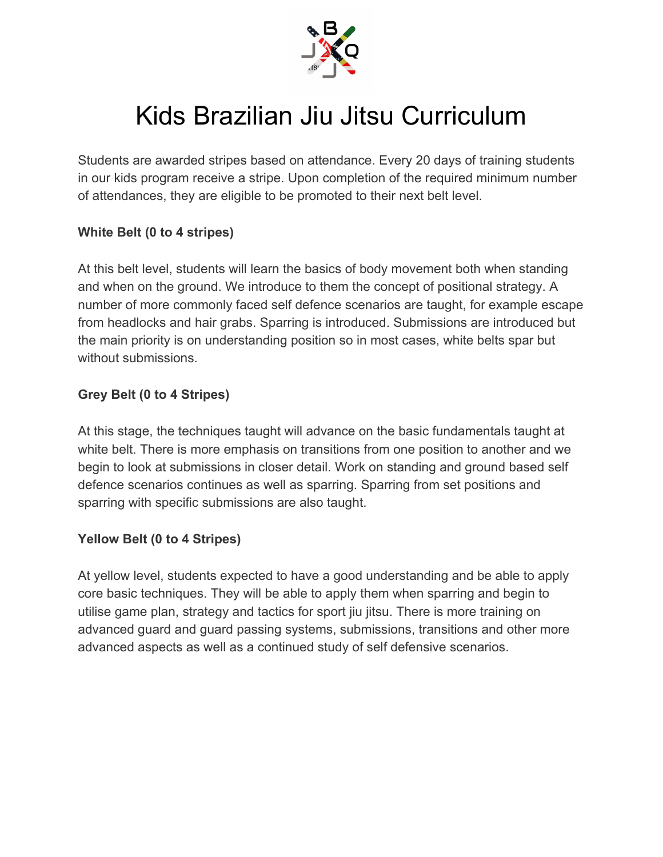

# Kids Brazilian Jiu Jitsu Curriculum

Students are awarded stripes based on attendance. Every 20 days of training students in our kids program receive a stripe. Upon completion of the required minimum number of attendances, they are eligible to be promoted to their next belt level.

#### **White Belt (0 to 4 stripes)**

At this belt level, students will learn the basics of body movement both when standing and when on the ground. We introduce to them the concept of positional strategy. A number of more commonly faced self defence scenarios are taught, for example escape from headlocks and hair grabs. Sparring is introduced. Submissions are introduced but the main priority is on understanding position so in most cases, white belts spar but without submissions.

#### **Grey Belt (0 to 4 Stripes)**

At this stage, the techniques taught will advance on the basic fundamentals taught at white belt. There is more emphasis on transitions from one position to another and we begin to look at submissions in closer detail. Work on standing and ground based self defence scenarios continues as well as sparring. Sparring from set positions and sparring with specific submissions are also taught.

#### **Yellow Belt (0 to 4 Stripes)**

At yellow level, students expected to have a good understanding and be able to apply core basic techniques. They will be able to apply them when sparring and begin to utilise game plan, strategy and tactics for sport jiu jitsu. There is more training on advanced guard and guard passing systems, submissions, transitions and other more advanced aspects as well as a continued study of self defensive scenarios.